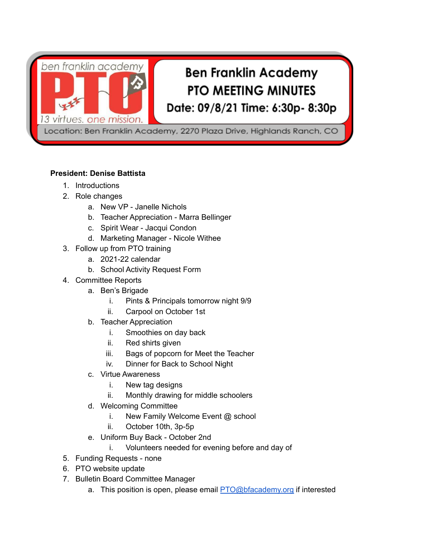ben franklin academy

13 virtues. one mission.

# **Ben Franklin Academy PTO MEETING MINUTES** Date: 09/8/21 Time: 6:30p- 8:30p

Location: Ben Franklin Academy, 2270 Plaza Drive, Highlands Ranch, CO

## **President: Denise Battista**

- 1. Introductions
- 2. Role changes
	- a. New VP Janelle Nichols
	- b. Teacher Appreciation Marra Bellinger
	- c. Spirit Wear Jacqui Condon
	- d. Marketing Manager Nicole Withee
- 3. Follow up from PTO training
	- a. 2021-22 calendar
	- b. School Activity Request Form
- 4. Committee Reports
	- a. Ben's Brigade
		- i. Pints & Principals tomorrow night 9/9
		- ii. Carpool on October 1st
	- b. Teacher Appreciation
		- i. Smoothies on day back
		- ii. Red shirts given
		- iii. Bags of popcorn for Meet the Teacher
		- iv. Dinner for Back to School Night
	- c. Virtue Awareness
		- i. New tag designs
		- ii. Monthly drawing for middle schoolers
	- d. Welcoming Committee
		- i. New Family Welcome Event @ school
		- ii. October 10th, 3p-5p
	- e. Uniform Buy Back October 2nd
		- i. Volunteers needed for evening before and day of
- 5. Funding Requests none
- 6. PTO website update
- 7. Bulletin Board Committee Manager
	- a. This position is open, please email [PTO@bfacademy.org](mailto:PTO@bfacademy.org) if interested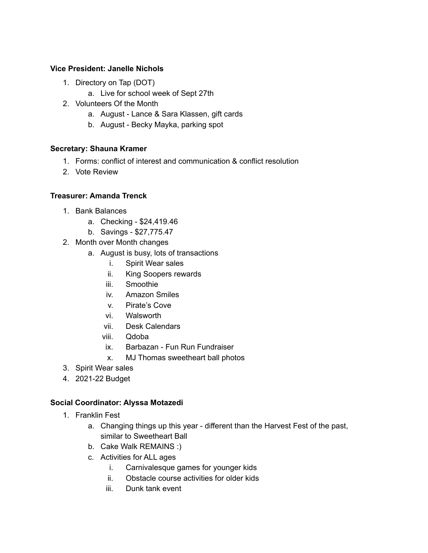### **Vice President: Janelle Nichols**

- 1. Directory on Tap (DOT)
	- a. Live for school week of Sept 27th
- 2. Volunteers Of the Month
	- a. August Lance & Sara Klassen, gift cards
	- b. August Becky Mayka, parking spot

#### **Secretary: Shauna Kramer**

- 1. Forms: conflict of interest and communication & conflict resolution
- 2. Vote Review

#### **Treasurer: Amanda Trenck**

- 1. Bank Balances
	- a. Checking \$24,419.46
	- b. Savings \$27,775.47
- 2. Month over Month changes
	- a. August is busy, lots of transactions
		- i. Spirit Wear sales
		- ii. King Soopers rewards
		- iii. Smoothie
		- iv. Amazon Smiles
		- v. Pirate's Cove
		- vi. Walsworth
		- vii. Desk Calendars
		- viii. Qdoba
		- ix. Barbazan Fun Run Fundraiser
		- x. MJ Thomas sweetheart ball photos
- 3. Spirit Wear sales
- 4. 2021-22 Budget

#### **Social Coordinator: Alyssa Motazedi**

- 1. Franklin Fest
	- a. Changing things up this year different than the Harvest Fest of the past, similar to Sweetheart Ball
	- b. Cake Walk REMAINS :)
	- c. Activities for ALL ages
		- i. Carnivalesque games for younger kids
		- ii. Obstacle course activities for older kids
		- iii. Dunk tank event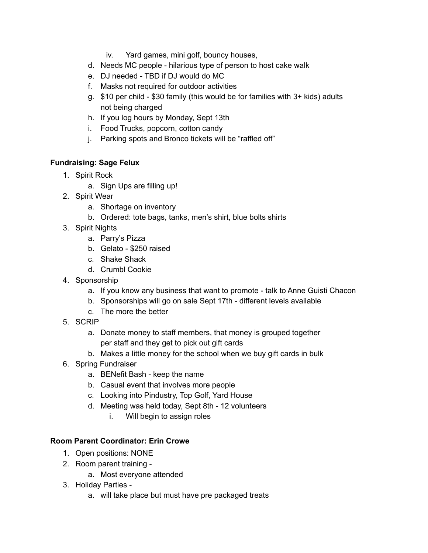- iv. Yard games, mini golf, bouncy houses,
- d. Needs MC people hilarious type of person to host cake walk
- e. DJ needed TBD if DJ would do MC
- f. Masks not required for outdoor activities
- g. \$10 per child \$30 family (this would be for families with 3+ kids) adults not being charged
- h. If you log hours by Monday, Sept 13th
- i. Food Trucks, popcorn, cotton candy
- j. Parking spots and Bronco tickets will be "raffled off"

# **Fundraising: Sage Felux**

- 1. Spirit Rock
	- a. Sign Ups are filling up!
- 2. Spirit Wear
	- a. Shortage on inventory
	- b. Ordered: tote bags, tanks, men's shirt, blue bolts shirts
- 3. Spirit Nights
	- a. Parry's Pizza
	- b. Gelato \$250 raised
	- c. Shake Shack
	- d. Crumbl Cookie
- 4. Sponsorship
	- a. If you know any business that want to promote talk to Anne Guisti Chacon
	- b. Sponsorships will go on sale Sept 17th different levels available
	- c. The more the better
- 5. SCRIP
	- a. Donate money to staff members, that money is grouped together per staff and they get to pick out gift cards
	- b. Makes a little money for the school when we buy gift cards in bulk
- 6. Spring Fundraiser
	- a. BENefit Bash keep the name
	- b. Casual event that involves more people
	- c. Looking into Pindustry, Top Golf, Yard House
	- d. Meeting was held today, Sept 8th 12 volunteers
		- i. Will begin to assign roles

## **Room Parent Coordinator: Erin Crowe**

- 1. Open positions: NONE
- 2. Room parent training
	- a. Most everyone attended
- 3. Holiday Parties
	- a. will take place but must have pre packaged treats